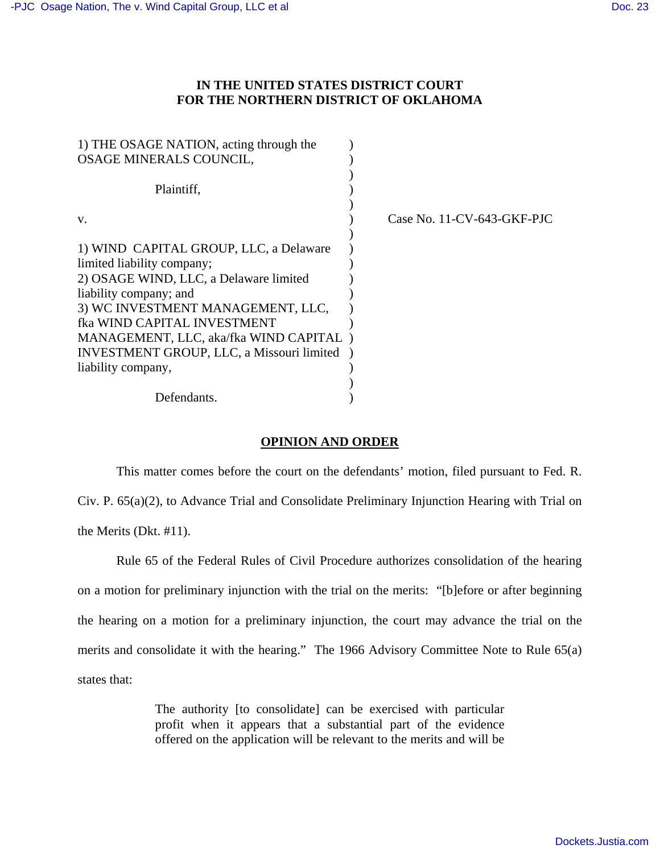## **IN THE UNITED STATES DISTRICT COURT FOR THE NORTHERN DISTRICT OF OKLAHOMA**

| 1) THE OSAGE NATION, acting through the<br>OSAGE MINERALS COUNCIL,    |                            |
|-----------------------------------------------------------------------|----------------------------|
| Plaintiff,                                                            |                            |
| V.                                                                    | Case No. 11-CV-643-GKF-PJC |
| 1) WIND CAPITAL GROUP, LLC, a Delaware                                |                            |
| limited liability company;<br>2) OSAGE WIND, LLC, a Delaware limited  |                            |
| liability company; and<br>3) WC INVESTMENT MANAGEMENT, LLC,           |                            |
| fka WIND CAPITAL INVESTMENT<br>MANAGEMENT, LLC, aka/fka WIND CAPITAL) |                            |
| <b>INVESTMENT GROUP, LLC, a Missouri limited</b>                      |                            |
| liability company,                                                    |                            |
| Defendants.                                                           |                            |

## **OPINION AND ORDER**

 This matter comes before the court on the defendants' motion, filed pursuant to Fed. R. Civ. P. 65(a)(2), to Advance Trial and Consolidate Preliminary Injunction Hearing with Trial on the Merits (Dkt. #11).

 Rule 65 of the Federal Rules of Civil Procedure authorizes consolidation of the hearing on a motion for preliminary injunction with the trial on the merits: "[b]efore or after beginning the hearing on a motion for a preliminary injunction, the court may advance the trial on the merits and consolidate it with the hearing." The 1966 Advisory Committee Note to Rule 65(a) states that:

> The authority [to consolidate] can be exercised with particular profit when it appears that a substantial part of the evidence offered on the application will be relevant to the merits and will be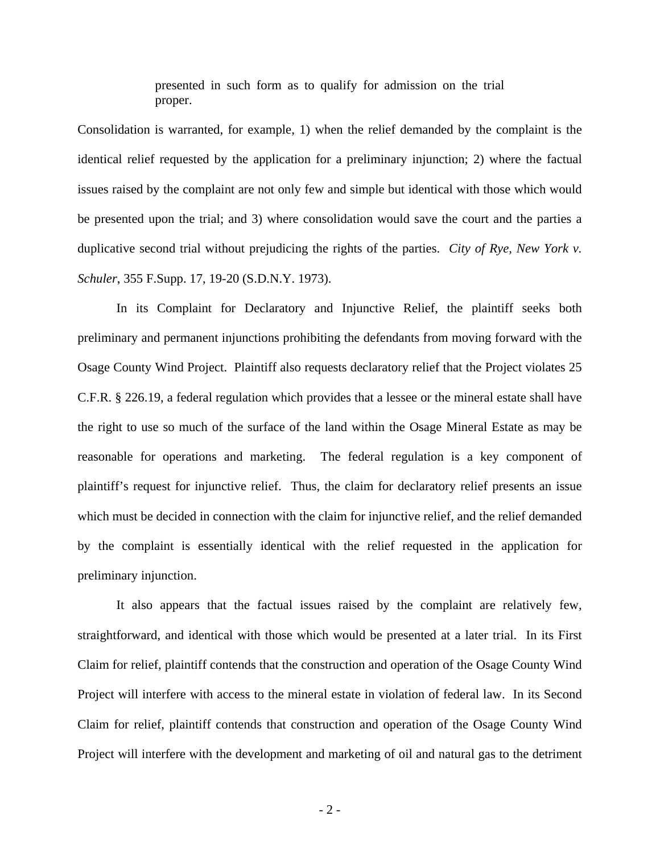presented in such form as to qualify for admission on the trial proper.

Consolidation is warranted, for example, 1) when the relief demanded by the complaint is the identical relief requested by the application for a preliminary injunction; 2) where the factual issues raised by the complaint are not only few and simple but identical with those which would be presented upon the trial; and 3) where consolidation would save the court and the parties a duplicative second trial without prejudicing the rights of the parties. *City of Rye, New York v. Schuler*, 355 F.Supp. 17, 19-20 (S.D.N.Y. 1973).

 In its Complaint for Declaratory and Injunctive Relief, the plaintiff seeks both preliminary and permanent injunctions prohibiting the defendants from moving forward with the Osage County Wind Project. Plaintiff also requests declaratory relief that the Project violates 25 C.F.R. § 226.19, a federal regulation which provides that a lessee or the mineral estate shall have the right to use so much of the surface of the land within the Osage Mineral Estate as may be reasonable for operations and marketing. The federal regulation is a key component of plaintiff's request for injunctive relief. Thus, the claim for declaratory relief presents an issue which must be decided in connection with the claim for injunctive relief, and the relief demanded by the complaint is essentially identical with the relief requested in the application for preliminary injunction.

 It also appears that the factual issues raised by the complaint are relatively few, straightforward, and identical with those which would be presented at a later trial. In its First Claim for relief, plaintiff contends that the construction and operation of the Osage County Wind Project will interfere with access to the mineral estate in violation of federal law. In its Second Claim for relief, plaintiff contends that construction and operation of the Osage County Wind Project will interfere with the development and marketing of oil and natural gas to the detriment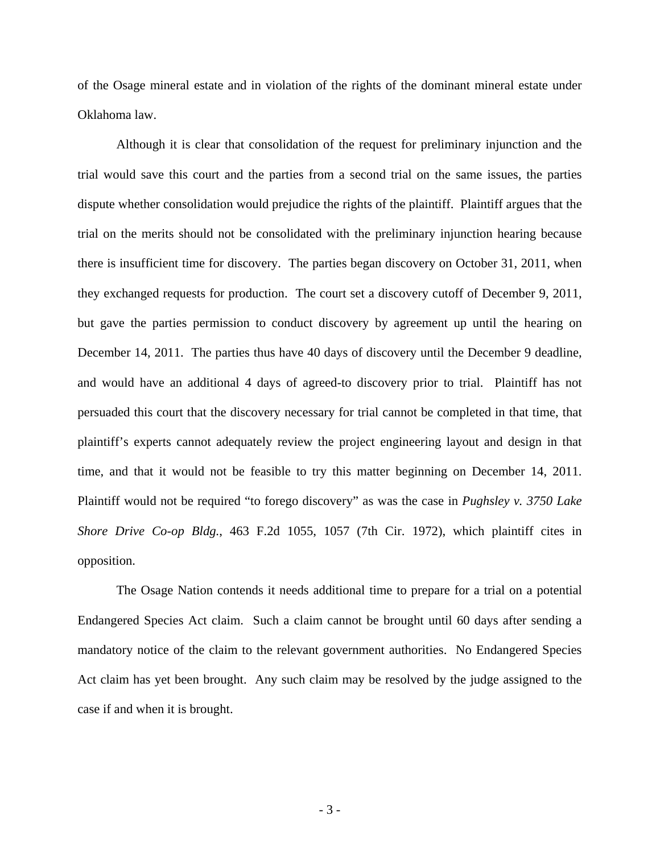of the Osage mineral estate and in violation of the rights of the dominant mineral estate under Oklahoma law.

 Although it is clear that consolidation of the request for preliminary injunction and the trial would save this court and the parties from a second trial on the same issues, the parties dispute whether consolidation would prejudice the rights of the plaintiff. Plaintiff argues that the trial on the merits should not be consolidated with the preliminary injunction hearing because there is insufficient time for discovery. The parties began discovery on October 31, 2011, when they exchanged requests for production. The court set a discovery cutoff of December 9, 2011, but gave the parties permission to conduct discovery by agreement up until the hearing on December 14, 2011. The parties thus have 40 days of discovery until the December 9 deadline, and would have an additional 4 days of agreed-to discovery prior to trial. Plaintiff has not persuaded this court that the discovery necessary for trial cannot be completed in that time, that plaintiff's experts cannot adequately review the project engineering layout and design in that time, and that it would not be feasible to try this matter beginning on December 14, 2011. Plaintiff would not be required "to forego discovery" as was the case in *Pughsley v. 3750 Lake Shore Drive Co-op Bldg.*, 463 F.2d 1055, 1057 (7th Cir. 1972), which plaintiff cites in opposition.

 The Osage Nation contends it needs additional time to prepare for a trial on a potential Endangered Species Act claim. Such a claim cannot be brought until 60 days after sending a mandatory notice of the claim to the relevant government authorities. No Endangered Species Act claim has yet been brought. Any such claim may be resolved by the judge assigned to the case if and when it is brought.